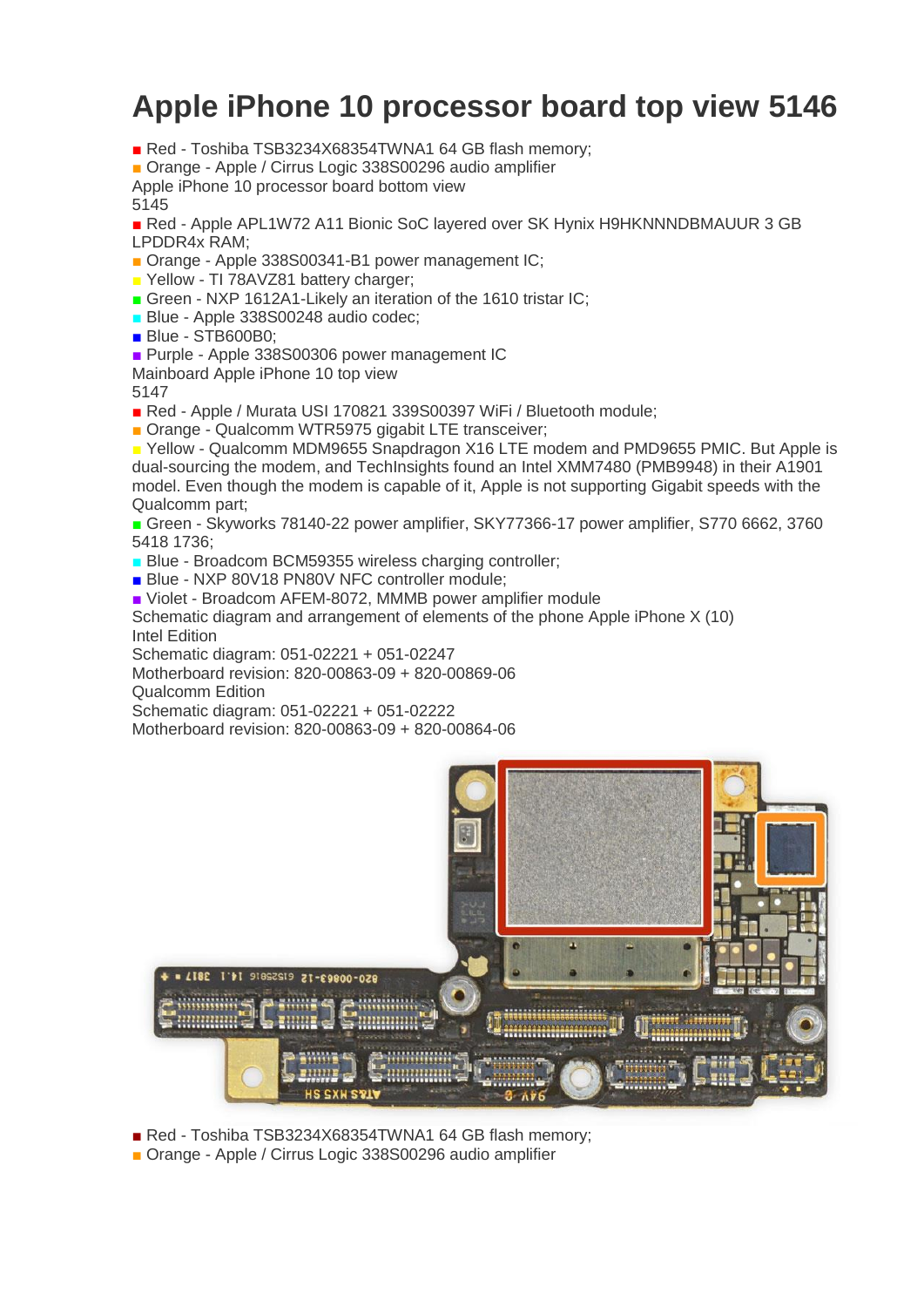## **Apple iPhone 10 processor board top view 5146**

■ Red - Toshiba TSB3234X68354TWNA1 64 GB flash memory;

■ Orange - Apple / Cirrus Logic 338S00296 audio amplifier

Apple iPhone 10 processor board bottom view

5145

■ Red - Apple APL1W72 A11 Bionic SoC layered over SK Hynix H9HKNNNDBMAUUR 3 GB LPDDR4x RAM;

■ Orange - Apple 338S00341-B1 power management IC;

■ Yellow - TI 78AVZ81 battery charger;

■ Green - NXP 1612A1-Likely an iteration of the 1610 tristar IC;

**Blue - Apple 338S00248 audio codec:** 

■ Blue - STB600B0:

■ Purple - Apple 338S00306 power management IC

Mainboard Apple iPhone 10 top view

5147

■ Red - Apple / Murata USI 170821 339S00397 WiFi / Bluetooth module;

■ Orange - Qualcomm WTR5975 gigabit LTE transceiver;

■ Yellow - Qualcomm MDM9655 Snapdragon X16 LTE modem and PMD9655 PMIC. But Apple is dual-sourcing the modem, and TechInsights found an Intel XMM7480 (PMB9948) in their A1901 model. Even though the modem is capable of it, Apple is not supporting Gigabit speeds with the Qualcomm part;

■ Green - Skyworks 78140-22 power amplifier, SKY77366-17 power amplifier, S770 6662, 3760 5418 1736;

■ Blue - Broadcom BCM59355 wireless charging controller;

■ Blue - NXP 80V18 PN80V NFC controller module;

■ Violet - Broadcom AFEM-8072, MMMB power amplifier module

Schematic diagram and arrangement of elements of the phone Apple iPhone X (10) Intel Edition

Schematic diagram: 051-02221 + 051-02247

Motherboard revision: 820-00863-09 + 820-00869-06

Qualcomm Edition

Schematic diagram: 051-02221 + 051-02222

Motherboard revision: 820-00863-09 + 820-00864-06



■ Red - Toshiba TSB3234X68354TWNA1 64 GB flash memory:

■ Orange - Apple / Cirrus Logic 338S00296 audio amplifier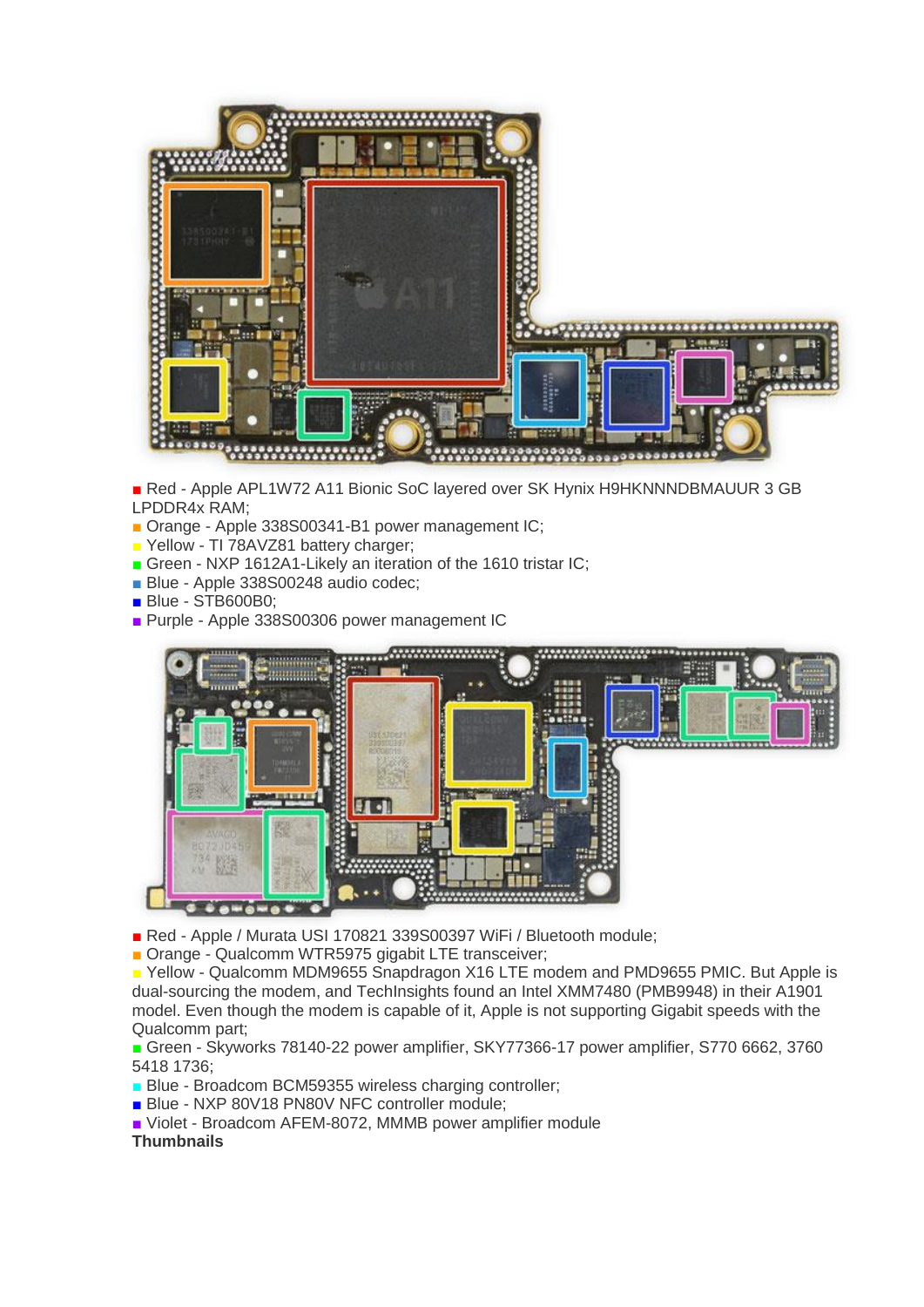

■ Red - Apple APL1W72 A11 Bionic SoC layered over SK Hynix H9HKNNNDBMAUUR 3 GB LPDDR4x RAM;

- Orange Apple 338S00341-B1 power management IC;
- **P** Yellow TI 78AVZ81 battery charger:
- Green NXP 1612A1-Likely an iteration of the 1610 tristar IC;
- Blue Apple 338S00248 audio codec;
- Blue STB600B0;
- Purple Apple 338S00306 power management IC



- Red Apple / Murata USI 170821 339S00397 WiFi / Bluetooth module;
- Orange Qualcomm WTR5975 gigabit LTE transceiver;

■ Yellow - Qualcomm MDM9655 Snapdragon X16 LTE modem and PMD9655 PMIC. But Apple is dual-sourcing the modem, and TechInsights found an Intel XMM7480 (PMB9948) in their A1901 model. Even though the modem is capable of it, Apple is not supporting Gigabit speeds with the Qualcomm part;

■ Green - Skyworks 78140-22 power amplifier, SKY77366-17 power amplifier, S770 6662, 3760 5418 1736;

- **Blue Broadcom BCM59355 wireless charging controller:**
- Blue NXP 80V18 PN80V NFC controller module;
- Violet Broadcom AFEM-8072, MMMB power amplifier module

## **Thumbnails**